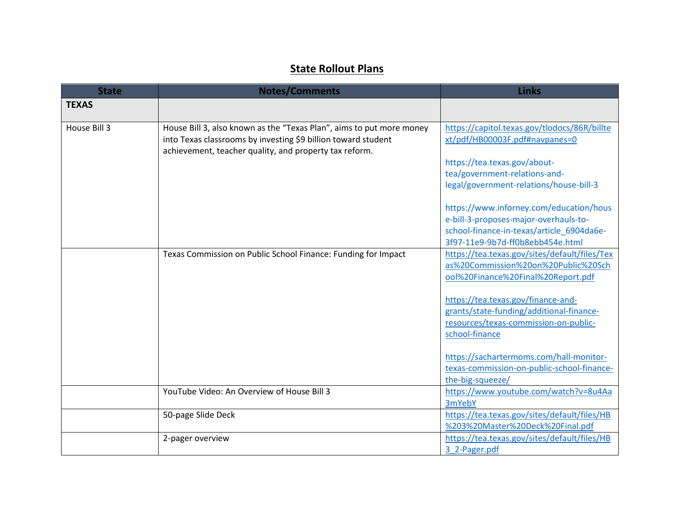## **State Rollout Plans**

| <b>State</b> | <b>Notes/Comments</b>                                                                                                                                                                           | <b>Links</b>                                                                   |
|--------------|-------------------------------------------------------------------------------------------------------------------------------------------------------------------------------------------------|--------------------------------------------------------------------------------|
| <b>TEXAS</b> |                                                                                                                                                                                                 |                                                                                |
| House Bill 3 | House Bill 3, also known as the "Texas Plan", aims to put more money<br>into Texas classrooms by investing \$9 billion toward student<br>achievement, teacher quality, and property tax reform. | https://capitol.texas.gov/tlodocs/86R/billte<br>xt/pdf/HB00003F.pdf#navpanes=0 |
|              |                                                                                                                                                                                                 | https://tea.texas.gov/about-                                                   |
|              |                                                                                                                                                                                                 | tea/government-relations-and-                                                  |
|              |                                                                                                                                                                                                 | legal/government-relations/house-bill-3                                        |
|              |                                                                                                                                                                                                 | https://www.inforney.com/education/hous                                        |
|              |                                                                                                                                                                                                 | e-bill-3-proposes-major-overhauls-to-                                          |
|              |                                                                                                                                                                                                 | school-finance-in-texas/article_6904da6e-<br>3f97-11e9-9b7d-ff0b8ebb454e.html  |
|              | Texas Commission on Public School Finance: Funding for Impact                                                                                                                                   | https://tea.texas.gov/sites/default/files/Tex                                  |
|              |                                                                                                                                                                                                 | as%20Commission%20on%20Public%20Sch                                            |
|              |                                                                                                                                                                                                 | ool%20Finance%20Final%20Report.pdf                                             |
|              |                                                                                                                                                                                                 | https://tea.texas.gov/finance-and-                                             |
|              |                                                                                                                                                                                                 | grants/state-funding/additional-finance-                                       |
|              |                                                                                                                                                                                                 | resources/texas-commission-on-public-                                          |
|              |                                                                                                                                                                                                 | school-finance                                                                 |
|              |                                                                                                                                                                                                 | https://sachartermoms.com/hall-monitor-                                        |
|              |                                                                                                                                                                                                 | texas-commission-on-public-school-finance-                                     |
|              |                                                                                                                                                                                                 | the-big-squeeze/                                                               |
|              | YouTube Video: An Overview of House Bill 3                                                                                                                                                      | https://www.youtube.com/watch?v=8u4Aa                                          |
|              |                                                                                                                                                                                                 | 3mYebY                                                                         |
|              | 50-page Slide Deck                                                                                                                                                                              | https://tea.texas.gov/sites/default/files/HB                                   |
|              |                                                                                                                                                                                                 | %203%20Master%20Deck%20Final.pdf                                               |
|              | 2-pager overview                                                                                                                                                                                | https://tea.texas.gov/sites/default/files/HB                                   |
|              |                                                                                                                                                                                                 | 3 2-Pager.pdf                                                                  |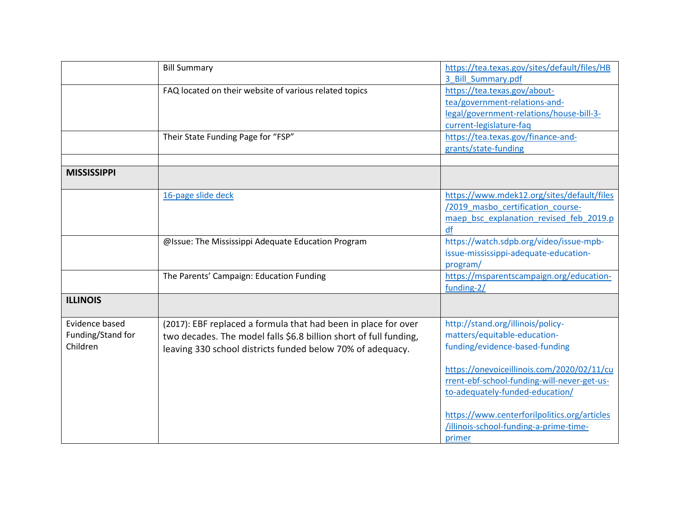|                    | <b>Bill Summary</b>                                               | https://tea.texas.gov/sites/default/files/HB |
|--------------------|-------------------------------------------------------------------|----------------------------------------------|
|                    |                                                                   | 3 Bill Summary.pdf                           |
|                    | FAQ located on their website of various related topics            | https://tea.texas.gov/about-                 |
|                    |                                                                   | tea/government-relations-and-                |
|                    |                                                                   | legal/government-relations/house-bill-3-     |
|                    |                                                                   | current-legislature-faq                      |
|                    | Their State Funding Page for "FSP"                                | https://tea.texas.gov/finance-and-           |
|                    |                                                                   | grants/state-funding                         |
|                    |                                                                   |                                              |
| <b>MISSISSIPPI</b> |                                                                   |                                              |
|                    | 16-page slide deck                                                | https://www.mdek12.org/sites/default/files   |
|                    |                                                                   | /2019 masbo certification course-            |
|                    |                                                                   | maep bsc explanation revised feb 2019.p      |
|                    |                                                                   | df                                           |
|                    | @Issue: The Mississippi Adequate Education Program                | https://watch.sdpb.org/video/issue-mpb-      |
|                    |                                                                   | issue-mississippi-adequate-education-        |
|                    |                                                                   | program/                                     |
|                    | The Parents' Campaign: Education Funding                          | https://msparentscampaign.org/education-     |
|                    |                                                                   | funding-2/                                   |
| <b>ILLINOIS</b>    |                                                                   |                                              |
| Evidence based     | (2017): EBF replaced a formula that had been in place for over    | http://stand.org/illinois/policy-            |
| Funding/Stand for  | two decades. The model falls \$6.8 billion short of full funding, | matters/equitable-education-                 |
| Children           | leaving 330 school districts funded below 70% of adequacy.        | funding/evidence-based-funding               |
|                    |                                                                   | https://onevoiceillinois.com/2020/02/11/cu   |
|                    |                                                                   | rrent-ebf-school-funding-will-never-get-us-  |
|                    |                                                                   | to-adequately-funded-education/              |
|                    |                                                                   |                                              |
|                    |                                                                   | https://www.centerforilpolitics.org/articles |
|                    |                                                                   | /illinois-school-funding-a-prime-time-       |
|                    |                                                                   | primer                                       |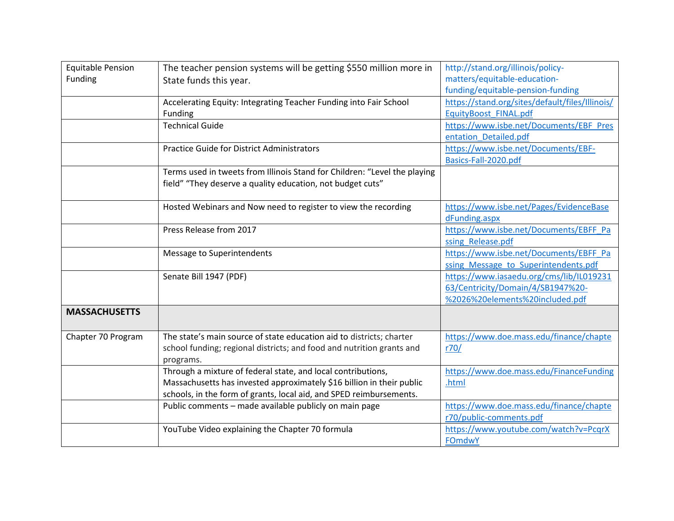| <b>Equitable Pension</b> | The teacher pension systems will be getting \$550 million more in         | http://stand.org/illinois/policy-               |
|--------------------------|---------------------------------------------------------------------------|-------------------------------------------------|
| Funding                  | State funds this year.                                                    | matters/equitable-education-                    |
|                          |                                                                           | funding/equitable-pension-funding               |
|                          | Accelerating Equity: Integrating Teacher Funding into Fair School         | https://stand.org/sites/default/files/Illinois/ |
|                          | <b>Funding</b>                                                            | EquityBoost FINAL.pdf                           |
|                          | <b>Technical Guide</b>                                                    | https://www.isbe.net/Documents/EBF Pres         |
|                          |                                                                           | entation Detailed.pdf                           |
|                          | <b>Practice Guide for District Administrators</b>                         | https://www.isbe.net/Documents/EBF-             |
|                          |                                                                           | Basics-Fall-2020.pdf                            |
|                          | Terms used in tweets from Illinois Stand for Children: "Level the playing |                                                 |
|                          | field" "They deserve a quality education, not budget cuts"                |                                                 |
|                          |                                                                           |                                                 |
|                          | Hosted Webinars and Now need to register to view the recording            | https://www.isbe.net/Pages/EvidenceBase         |
|                          |                                                                           | dFunding.aspx                                   |
|                          | Press Release from 2017                                                   | https://www.isbe.net/Documents/EBFF_Pa          |
|                          |                                                                           | ssing Release.pdf                               |
|                          | Message to Superintendents                                                | https://www.isbe.net/Documents/EBFF Pa          |
|                          |                                                                           | ssing Message to Superintendents.pdf            |
|                          | Senate Bill 1947 (PDF)                                                    | https://www.iasaedu.org/cms/lib/IL019231        |
|                          |                                                                           | 63/Centricity/Domain/4/SB1947%20-               |
|                          |                                                                           | %2026%20elements%20included.pdf                 |
| <b>MASSACHUSETTS</b>     |                                                                           |                                                 |
|                          |                                                                           |                                                 |
| Chapter 70 Program       | The state's main source of state education aid to districts; charter      | https://www.doe.mass.edu/finance/chapte         |
|                          | school funding; regional districts; and food and nutrition grants and     | r70/                                            |
|                          | programs.                                                                 |                                                 |
|                          | Through a mixture of federal state, and local contributions,              | https://www.doe.mass.edu/FinanceFunding         |
|                          | Massachusetts has invested approximately \$16 billion in their public     | .html                                           |
|                          | schools, in the form of grants, local aid, and SPED reimbursements.       |                                                 |
|                          | Public comments - made available publicly on main page                    | https://www.doe.mass.edu/finance/chapte         |
|                          |                                                                           | r70/public-comments.pdf                         |
|                          | YouTube Video explaining the Chapter 70 formula                           | https://www.youtube.com/watch?v=PcqrX           |
|                          |                                                                           | FOmdwY                                          |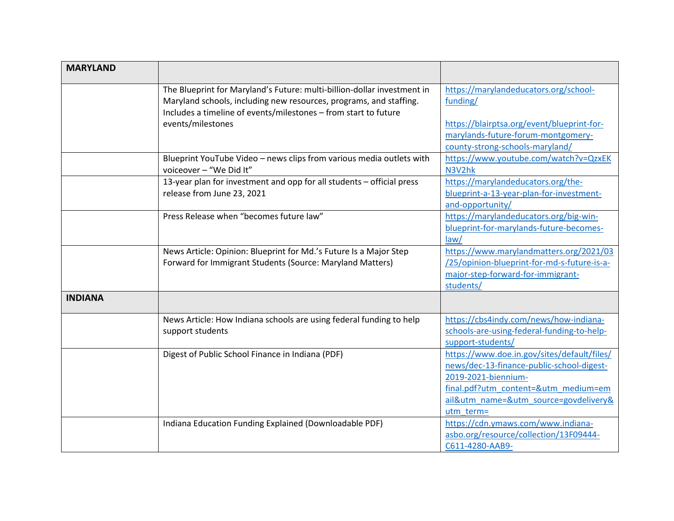| <b>MARYLAND</b> |                                                                                                                                                                                                                                       |                                                                                                                                                                                                               |
|-----------------|---------------------------------------------------------------------------------------------------------------------------------------------------------------------------------------------------------------------------------------|---------------------------------------------------------------------------------------------------------------------------------------------------------------------------------------------------------------|
|                 | The Blueprint for Maryland's Future: multi-billion-dollar investment in<br>Maryland schools, including new resources, programs, and staffing.<br>Includes a timeline of events/milestones - from start to future<br>events/milestones | https://marylandeducators.org/school-<br>funding/<br>https://blairptsa.org/event/blueprint-for-<br>marylands-future-forum-montgomery-<br>county-strong-schools-maryland/                                      |
|                 | Blueprint YouTube Video - news clips from various media outlets with<br>voiceover - "We Did It"                                                                                                                                       | https://www.youtube.com/watch?v=QzxEK<br>N3V2hk                                                                                                                                                               |
|                 | 13-year plan for investment and opp for all students - official press<br>release from June 23, 2021                                                                                                                                   | https://marylandeducators.org/the-<br>blueprint-a-13-year-plan-for-investment-<br>and-opportunity/                                                                                                            |
|                 | Press Release when "becomes future law"                                                                                                                                                                                               | https://marylandeducators.org/big-win-<br>blueprint-for-marylands-future-becomes-<br>law/                                                                                                                     |
|                 | News Article: Opinion: Blueprint for Md.'s Future Is a Major Step<br>Forward for Immigrant Students (Source: Maryland Matters)                                                                                                        | https://www.marylandmatters.org/2021/03<br>/25/opinion-blueprint-for-md-s-future-is-a-<br>major-step-forward-for-immigrant-<br>students/                                                                      |
| <b>INDIANA</b>  |                                                                                                                                                                                                                                       |                                                                                                                                                                                                               |
|                 | News Article: How Indiana schools are using federal funding to help<br>support students                                                                                                                                               | https://cbs4indy.com/news/how-indiana-<br>schools-are-using-federal-funding-to-help-<br>support-students/                                                                                                     |
|                 | Digest of Public School Finance in Indiana (PDF)                                                                                                                                                                                      | https://www.doe.in.gov/sites/default/files/<br>news/dec-13-finance-public-school-digest-<br>2019-2021-biennium-<br>final.pdf?utm_content=&utm_medium=em<br>ail&utm_name=&utm_source=govdelivery&<br>utm term= |
|                 | Indiana Education Funding Explained (Downloadable PDF)                                                                                                                                                                                | https://cdn.ymaws.com/www.indiana-<br>asbo.org/resource/collection/13F09444-<br>C611-4280-AAB9-                                                                                                               |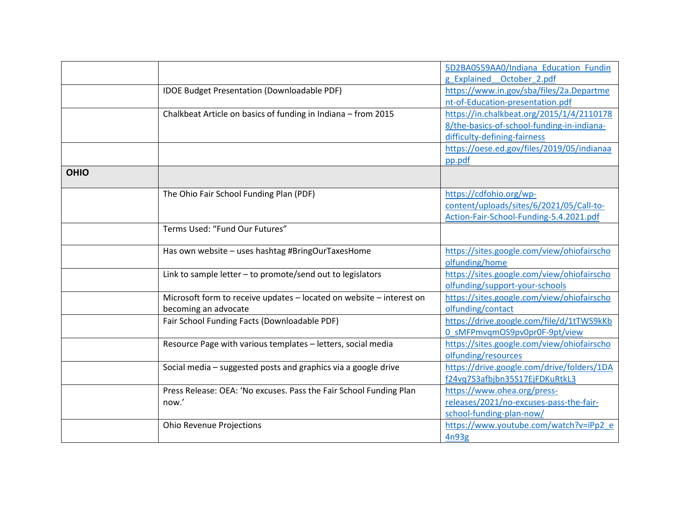|             |                                                                      | 5D2BA0559AA0/Indiana Education Fundin      |
|-------------|----------------------------------------------------------------------|--------------------------------------------|
|             |                                                                      | g Explained October 2.pdf                  |
|             | <b>IDOE Budget Presentation (Downloadable PDF)</b>                   | https://www.in.gov/sba/files/2a.Departme   |
|             |                                                                      | nt-of-Education-presentation.pdf           |
|             | Chalkbeat Article on basics of funding in Indiana - from 2015        | https://in.chalkbeat.org/2015/1/4/2110178  |
|             |                                                                      | 8/the-basics-of-school-funding-in-indiana- |
|             |                                                                      | difficulty-defining-fairness               |
|             |                                                                      | https://oese.ed.gov/files/2019/05/indianaa |
|             |                                                                      | pp.pdf                                     |
| <b>OHIO</b> |                                                                      |                                            |
|             | The Ohio Fair School Funding Plan (PDF)                              | https://cdfohio.org/wp-                    |
|             |                                                                      | content/uploads/sites/6/2021/05/Call-to-   |
|             |                                                                      | Action-Fair-School-Funding-5.4.2021.pdf    |
|             | Terms Used: "Fund Our Futures"                                       |                                            |
|             | Has own website - uses hashtag #BringOurTaxesHome                    | https://sites.google.com/view/ohiofairscho |
|             |                                                                      | olfunding/home                             |
|             | Link to sample letter - to promote/send out to legislators           | https://sites.google.com/view/ohiofairscho |
|             |                                                                      | olfunding/support-your-schools             |
|             | Microsoft form to receive updates - located on website - interest on | https://sites.google.com/view/ohiofairscho |
|             | becoming an advocate                                                 | olfunding/contact                          |
|             | Fair School Funding Facts (Downloadable PDF)                         | https://drive.google.com/file/d/1tTWS9kKb  |
|             |                                                                      | 0 sMFPmvqmOS9pv0pr0F-9pt/view              |
|             | Resource Page with various templates - letters, social media         | https://sites.google.com/view/ohiofairscho |
|             |                                                                      | olfunding/resources                        |
|             | Social media - suggested posts and graphics via a google drive       | https://drive.google.com/drive/folders/1DA |
|             |                                                                      | f24vq7S3afbjbn35S17EjFDKuRtkL3             |
|             | Press Release: OEA: 'No excuses. Pass the Fair School Funding Plan   | https://www.ohea.org/press-                |
|             | now.'                                                                | releases/2021/no-excuses-pass-the-fair-    |
|             |                                                                      | school-funding-plan-now/                   |
|             | <b>Ohio Revenue Projections</b>                                      | https://www.youtube.com/watch?v=iPp2_e     |
|             |                                                                      | 4n93g                                      |